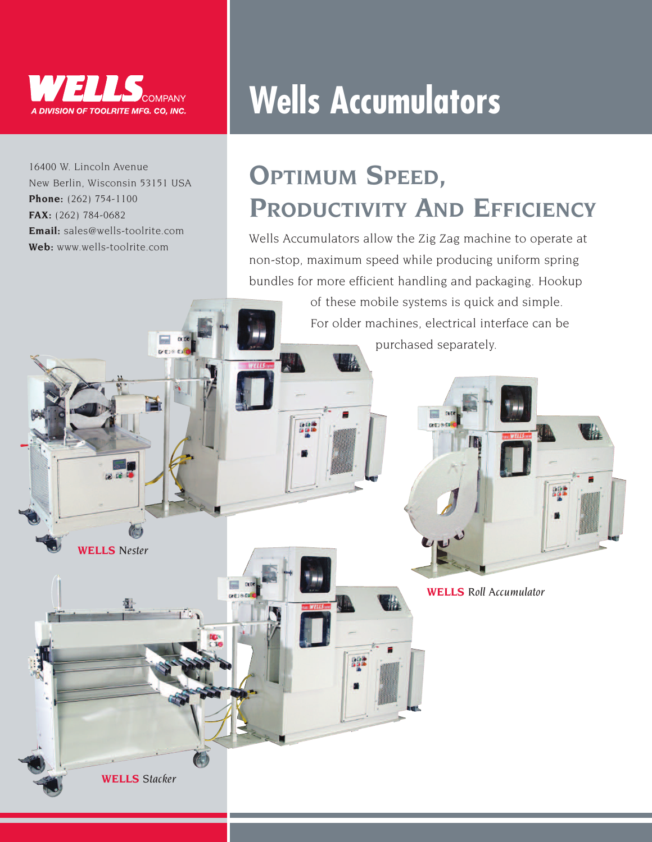

16400 W. Lincoln Avenue New Berlin, Wisconsin 53151 USA **Phone:** (262) 754-1100 **FAX:** (262) 784-0682 **Email:** sales@wells-toolrite.com **Web:** www.wells-toolrite.com

o c

 $\overline{\phantom{a}}$  a

**WELLS** *Nester*

a.

**WELLS** *Stacker*

## **Wells Accumulators**

### **OPTIMUM SPEED, PRODUCTIVITY AND EFFICIENCY**

Wells Accumulators allow the Zig Zag machine to operate at non-stop, maximum speed while producing uniform spring bundles for more efficient handling and packaging. Hookup

> of these mobile systems is quick and simple. For older machines, electrical interface can be purchased separately.



**WELLS** *Roll Accumulator*